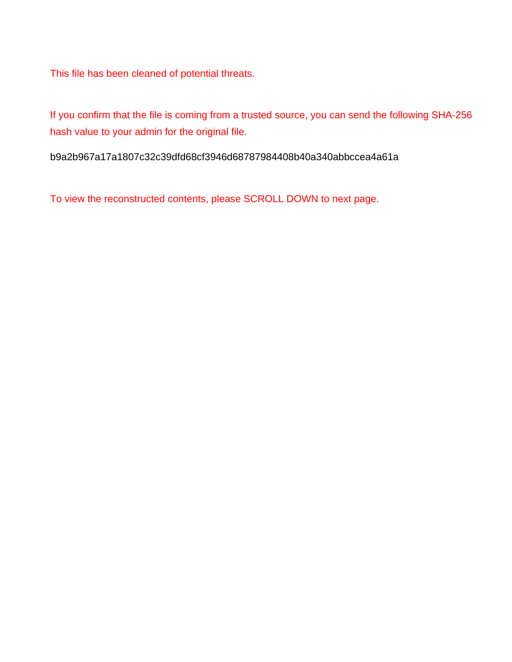This file has been cleaned of potential threats.

If you confirm that the file is coming from a trusted source, you can send the following SHA-256 hash value to your admin for the original file.

b9a2b967a17a1807c32c39dfd68cf3946d68787984408b40a340abbccea4a61a

To view the reconstructed contents, please SCROLL DOWN to next page.